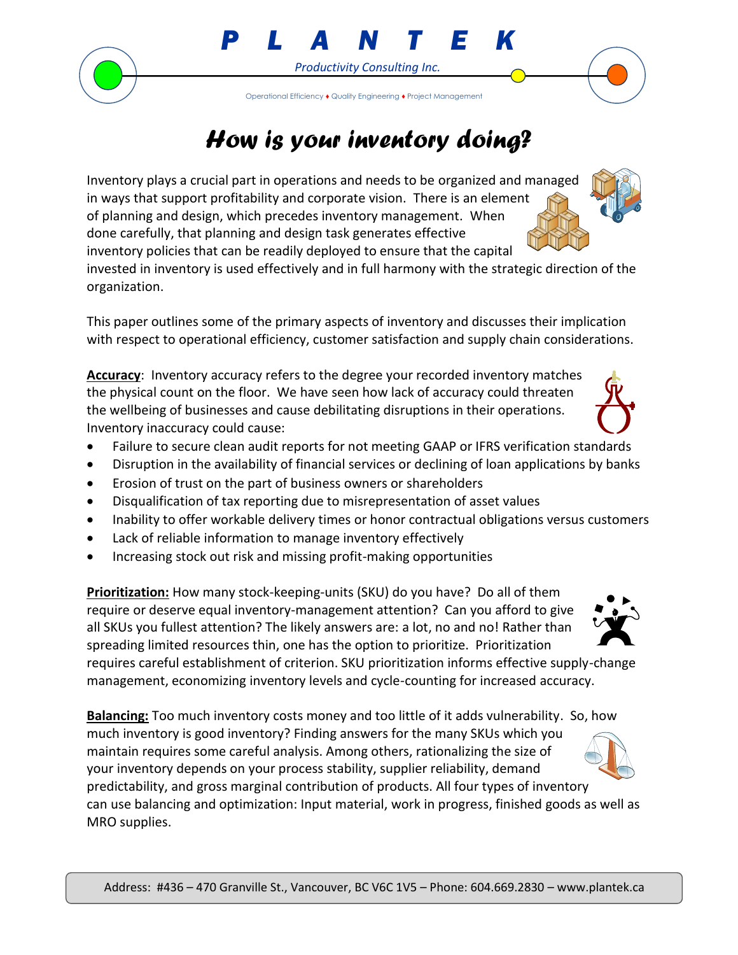

## *How is your inventory doing?*

*P L A N T E K*

*Productivity Consulting Inc.*

Operational Efficiency **♦** Quality Engineering **♦** Project Management

Inventory plays a crucial part in operations and needs to be organized and managed in ways that support profitability and corporate vision. There is an element of planning and design, which precedes inventory management. When done carefully, that planning and design task generates effective inventory policies that can be readily deployed to ensure that the capital

invested in inventory is used effectively and in full harmony with the strategic direction of the organization.

This paper outlines some of the primary aspects of inventory and discusses their implication with respect to operational efficiency, customer satisfaction and supply chain considerations.

**Accuracy**: Inventory accuracy refers to the degree your recorded inventory matches the physical count on the floor. We have seen how lack of accuracy could threaten the wellbeing of businesses and cause debilitating disruptions in their operations. Inventory inaccuracy could cause:

- Failure to secure clean audit reports for not meeting GAAP or IFRS verification standards
- Disruption in the availability of financial services or declining of loan applications by banks
- Erosion of trust on the part of business owners or shareholders
- Disqualification of tax reporting due to misrepresentation of asset values
- Inability to offer workable delivery times or honor contractual obligations versus customers
- Lack of reliable information to manage inventory effectively
- Increasing stock out risk and missing profit-making opportunities

**Prioritization:** How many stock-keeping-units (SKU) do you have? Do all of them require or deserve equal inventory-management attention? Can you afford to give all SKUs you fullest attention? The likely answers are: a lot, no and no! Rather than spreading limited resources thin, one has the option to prioritize. Prioritization requires careful establishment of criterion. SKU prioritization informs effective supply-change management, economizing inventory levels and cycle-counting for increased accuracy.

**Balancing:** Too much inventory costs money and too little of it adds vulnerability. So, how much inventory is good inventory? Finding answers for the many SKUs which you maintain requires some careful analysis. Among others, rationalizing the size of your inventory depends on your process stability, supplier reliability, demand predictability, and gross marginal contribution of products. All four types of inventory can use balancing and optimization: Input material, work in progress, finished goods as well as MRO supplies.